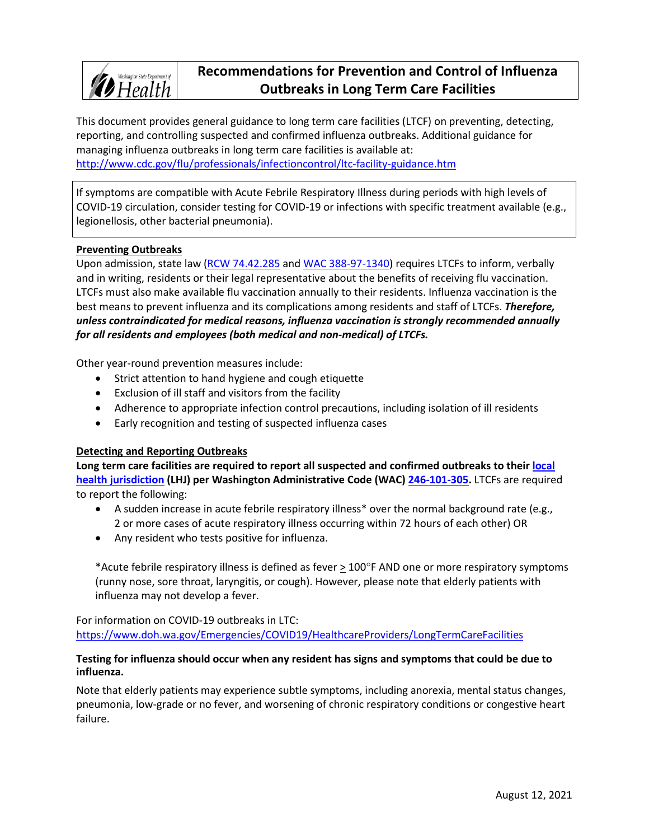

# **Recommendations for Prevention and Control of Influenza Outbreaks in Long Term Care Facilities**

This document provides general guidance to long term care facilities (LTCF) on preventing, detecting, reporting, and controlling suspected and confirmed influenza outbreaks. Additional guidance for managing influenza outbreaks in long term care facilities is available at: <http://www.cdc.gov/flu/professionals/infectioncontrol/ltc-facility-guidance.htm>

If symptoms are compatible with Acute Febrile Respiratory Illness during periods with high levels of COVID-19 circulation, consider testing for COVID-19 or infections with specific treatment available (e.g., legionellosis, other bacterial pneumonia).

#### **Preventing Outbreaks**

Upon admission, state law [\(RCW 74.42.285](http://app.leg.wa.gov/rcw/default.aspx?cite=74.42.285) and [WAC 388-97-1340\)](http://app.leg.wa.gov/WAC/default.aspx?cite=388-97-1340) requires LTCFs to inform, verbally and in writing, residents or their legal representative about the benefits of receiving flu vaccination. LTCFs must also make available flu vaccination annually to their residents. Influenza vaccination is the best means to prevent influenza and its complications among residents and staff of LTCFs. *Therefore, unless contraindicated for medical reasons, influenza vaccination is strongly recommended annually for all residents and employees (both medical and non-medical) of LTCFs.*

Other year-round prevention measures include:

- Strict attention to hand hygiene and cough etiquette
- Exclusion of ill staff and visitors from the facility
- Adherence to appropriate infection control precautions, including isolation of ill residents
- Early recognition and testing of suspected influenza cases

#### **Detecting and Reporting Outbreaks**

**Long term care facilities are required to report all suspected and confirmed outbreaks to thei[r local](http://www.doh.wa.gov/AboutUs/PublicHealthSystem/LocalHealthJurisdictions.aspx)  [health jurisdiction](http://www.doh.wa.gov/AboutUs/PublicHealthSystem/LocalHealthJurisdictions.aspx) (LHJ) per Washington Administrative Code (WAC) [246-101-305.](http://app.leg.wa.gov/WAC/default.aspx?cite=246-101-305)** LTCFs are required to report the following:

- A sudden increase in acute febrile respiratory illness\* over the normal background rate (e.g., 2 or more cases of acute respiratory illness occurring within 72 hours of each other) OR
- Any resident who tests positive for influenza.

\*Acute febrile respiratory illness is defined as fever > 100°F AND one or more respiratory symptoms (runny nose, sore throat, laryngitis, or cough). However, please note that elderly patients with influenza may not develop a fever.

For information on COVID-19 outbreaks in LTC: <https://www.doh.wa.gov/Emergencies/COVID19/HealthcareProviders/LongTermCareFacilities>

#### **Testing for influenza should occur when any resident has signs and symptoms that could be due to influenza.**

Note that elderly patients may experience subtle symptoms, including anorexia, mental status changes, pneumonia, low-grade or no fever, and worsening of chronic respiratory conditions or congestive heart failure.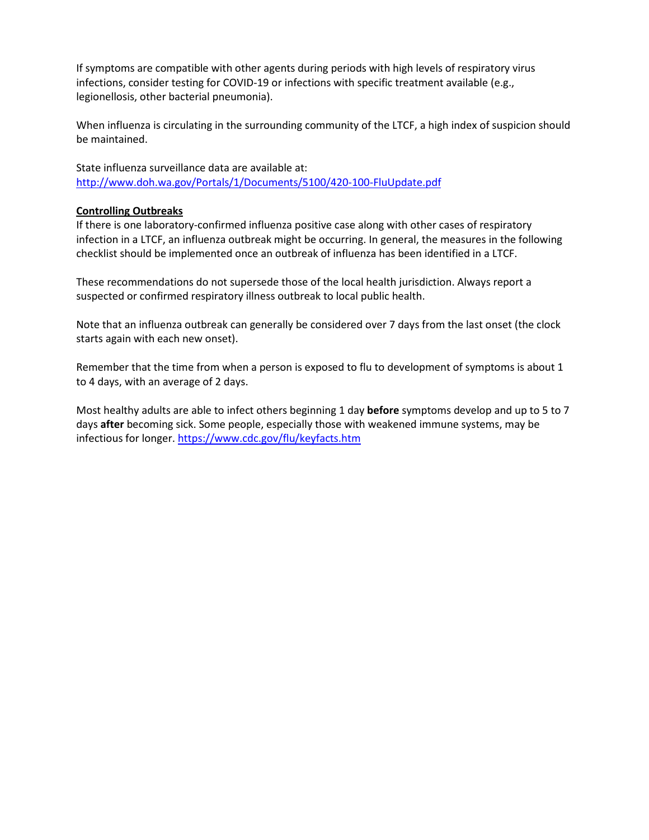If symptoms are compatible with other agents during periods with high levels of respiratory virus infections, consider testing for COVID-19 or infections with specific treatment available (e.g., legionellosis, other bacterial pneumonia).

When influenza is circulating in the surrounding community of the LTCF, a high index of suspicion should be maintained.

State influenza surveillance data are available at: <http://www.doh.wa.gov/Portals/1/Documents/5100/420-100-FluUpdate.pdf>

#### **Controlling Outbreaks**

If there is one laboratory-confirmed influenza positive case along with other cases of respiratory infection in a LTCF, an influenza outbreak might be occurring. In general, the measures in the following checklist should be implemented once an outbreak of influenza has been identified in a LTCF.

These recommendations do not supersede those of the local health jurisdiction. Always report a suspected or confirmed respiratory illness outbreak to local public health.

Note that an influenza outbreak can generally be considered over 7 days from the last onset (the clock starts again with each new onset).

Remember that the time from when a person is exposed to flu to development of symptoms is about 1 to 4 days, with an average of 2 days.

Most healthy adults are able to infect others beginning 1 day **before** symptoms develop and up to 5 to 7 days **after** becoming sick. Some people, especially those with weakened immune systems, may be infectious for longer. <https://www.cdc.gov/flu/keyfacts.htm>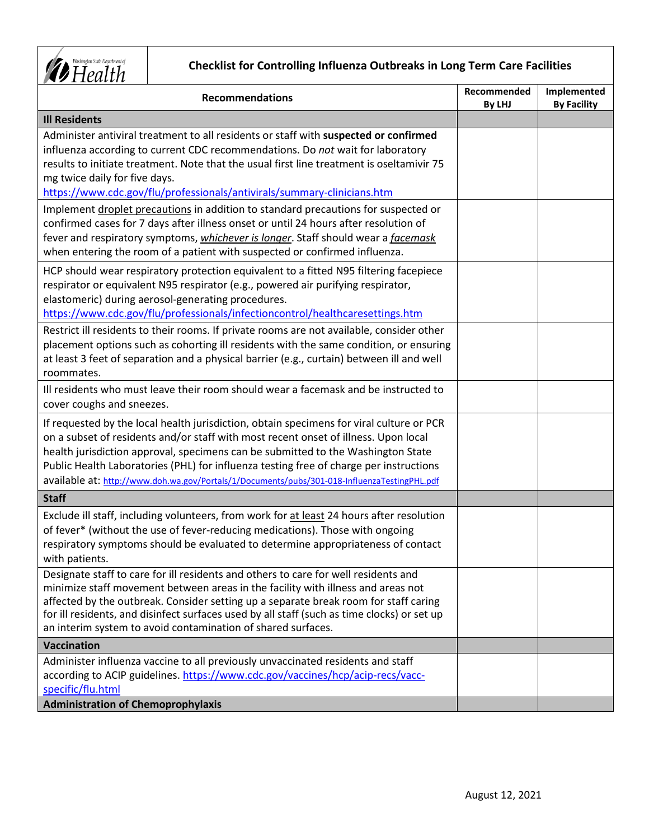

## **Checklist for Controlling Influenza Outbreaks in Long Term Care Facilities**

| <b>Recommendations</b>                                                                                                                                                                                                                                                                                                                                                                                                                                        | Recommended<br>By LHJ | Implemented<br><b>By Facility</b> |
|---------------------------------------------------------------------------------------------------------------------------------------------------------------------------------------------------------------------------------------------------------------------------------------------------------------------------------------------------------------------------------------------------------------------------------------------------------------|-----------------------|-----------------------------------|
| <b>Ill Residents</b>                                                                                                                                                                                                                                                                                                                                                                                                                                          |                       |                                   |
| Administer antiviral treatment to all residents or staff with suspected or confirmed<br>influenza according to current CDC recommendations. Do not wait for laboratory<br>results to initiate treatment. Note that the usual first line treatment is oseltamivir 75<br>mg twice daily for five days.<br>https://www.cdc.gov/flu/professionals/antivirals/summary-clinicians.htm                                                                               |                       |                                   |
| Implement droplet precautions in addition to standard precautions for suspected or<br>confirmed cases for 7 days after illness onset or until 24 hours after resolution of<br>fever and respiratory symptoms, <i>whichever is longer</i> . Staff should wear a <i>facemask</i><br>when entering the room of a patient with suspected or confirmed influenza.                                                                                                  |                       |                                   |
| HCP should wear respiratory protection equivalent to a fitted N95 filtering facepiece<br>respirator or equivalent N95 respirator (e.g., powered air purifying respirator,<br>elastomeric) during aerosol-generating procedures.<br>https://www.cdc.gov/flu/professionals/infectioncontrol/healthcaresettings.htm                                                                                                                                              |                       |                                   |
| Restrict ill residents to their rooms. If private rooms are not available, consider other<br>placement options such as cohorting ill residents with the same condition, or ensuring<br>at least 3 feet of separation and a physical barrier (e.g., curtain) between ill and well<br>roommates.                                                                                                                                                                |                       |                                   |
| Ill residents who must leave their room should wear a facemask and be instructed to<br>cover coughs and sneezes.                                                                                                                                                                                                                                                                                                                                              |                       |                                   |
| If requested by the local health jurisdiction, obtain specimens for viral culture or PCR<br>on a subset of residents and/or staff with most recent onset of illness. Upon local<br>health jurisdiction approval, specimens can be submitted to the Washington State<br>Public Health Laboratories (PHL) for influenza testing free of charge per instructions<br>available at: http://www.doh.wa.gov/Portals/1/Documents/pubs/301-018-InfluenzaTestingPHL.pdf |                       |                                   |
| <b>Staff</b>                                                                                                                                                                                                                                                                                                                                                                                                                                                  |                       |                                   |
| Exclude ill staff, including volunteers, from work for at least 24 hours after resolution<br>of fever* (without the use of fever-reducing medications). Those with ongoing<br>respiratory symptoms should be evaluated to determine appropriateness of contact<br>with patients.                                                                                                                                                                              |                       |                                   |
| Designate staff to care for ill residents and others to care for well residents and<br>minimize staff movement between areas in the facility with illness and areas not<br>affected by the outbreak. Consider setting up a separate break room for staff caring<br>for ill residents, and disinfect surfaces used by all staff (such as time clocks) or set up<br>an interim system to avoid contamination of shared surfaces.                                |                       |                                   |
| <b>Vaccination</b>                                                                                                                                                                                                                                                                                                                                                                                                                                            |                       |                                   |
| Administer influenza vaccine to all previously unvaccinated residents and staff<br>according to ACIP guidelines. https://www.cdc.gov/vaccines/hcp/acip-recs/vacc-<br>specific/flu.html                                                                                                                                                                                                                                                                        |                       |                                   |
| <b>Administration of Chemoprophylaxis</b>                                                                                                                                                                                                                                                                                                                                                                                                                     |                       |                                   |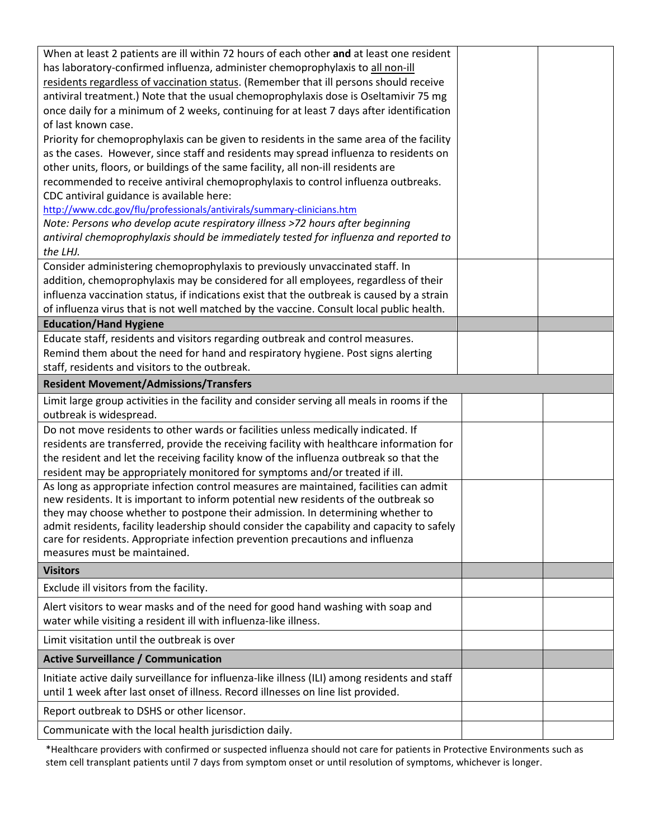| When at least 2 patients are ill within 72 hours of each other and at least one resident      |  |
|-----------------------------------------------------------------------------------------------|--|
| has laboratory-confirmed influenza, administer chemoprophylaxis to all non-ill                |  |
| residents regardless of vaccination status. (Remember that ill persons should receive         |  |
| antiviral treatment.) Note that the usual chemoprophylaxis dose is Oseltamivir 75 mg          |  |
| once daily for a minimum of 2 weeks, continuing for at least 7 days after identification      |  |
| of last known case.                                                                           |  |
|                                                                                               |  |
| Priority for chemoprophylaxis can be given to residents in the same area of the facility      |  |
| as the cases. However, since staff and residents may spread influenza to residents on         |  |
| other units, floors, or buildings of the same facility, all non-ill residents are             |  |
| recommended to receive antiviral chemoprophylaxis to control influenza outbreaks.             |  |
| CDC antiviral guidance is available here:                                                     |  |
| http://www.cdc.gov/flu/professionals/antivirals/summary-clinicians.htm                        |  |
| Note: Persons who develop acute respiratory illness >72 hours after beginning                 |  |
| antiviral chemoprophylaxis should be immediately tested for influenza and reported to         |  |
| the LHJ.                                                                                      |  |
| Consider administering chemoprophylaxis to previously unvaccinated staff. In                  |  |
| addition, chemoprophylaxis may be considered for all employees, regardless of their           |  |
| influenza vaccination status, if indications exist that the outbreak is caused by a strain    |  |
| of influenza virus that is not well matched by the vaccine. Consult local public health.      |  |
| <b>Education/Hand Hygiene</b>                                                                 |  |
| Educate staff, residents and visitors regarding outbreak and control measures.                |  |
| Remind them about the need for hand and respiratory hygiene. Post signs alerting              |  |
| staff, residents and visitors to the outbreak.                                                |  |
| <b>Resident Movement/Admissions/Transfers</b>                                                 |  |
| Limit large group activities in the facility and consider serving all meals in rooms if the   |  |
| outbreak is widespread.                                                                       |  |
| Do not move residents to other wards or facilities unless medically indicated. If             |  |
| residents are transferred, provide the receiving facility with healthcare information for     |  |
| the resident and let the receiving facility know of the influenza outbreak so that the        |  |
| resident may be appropriately monitored for symptoms and/or treated if ill.                   |  |
| As long as appropriate infection control measures are maintained, facilities can admit        |  |
| new residents. It is important to inform potential new residents of the outbreak so           |  |
| they may choose whether to postpone their admission. In determining whether to                |  |
| admit residents, facility leadership should consider the capability and capacity to safely    |  |
| care for residents. Appropriate infection prevention precautions and influenza                |  |
| measures must be maintained.                                                                  |  |
| <b>Visitors</b>                                                                               |  |
| Exclude ill visitors from the facility.                                                       |  |
| Alert visitors to wear masks and of the need for good hand washing with soap and              |  |
| water while visiting a resident ill with influenza-like illness.                              |  |
| Limit visitation until the outbreak is over                                                   |  |
| <b>Active Surveillance / Communication</b>                                                    |  |
| Initiate active daily surveillance for influenza-like illness (ILI) among residents and staff |  |
| until 1 week after last onset of illness. Record illnesses on line list provided.             |  |
|                                                                                               |  |
| Report outbreak to DSHS or other licensor.                                                    |  |
| Communicate with the local health jurisdiction daily.                                         |  |

\*Healthcare providers with confirmed or suspected influenza should not care for patients in Protective Environments such as stem cell transplant patients until 7 days from symptom onset or until resolution of symptoms, whichever is longer.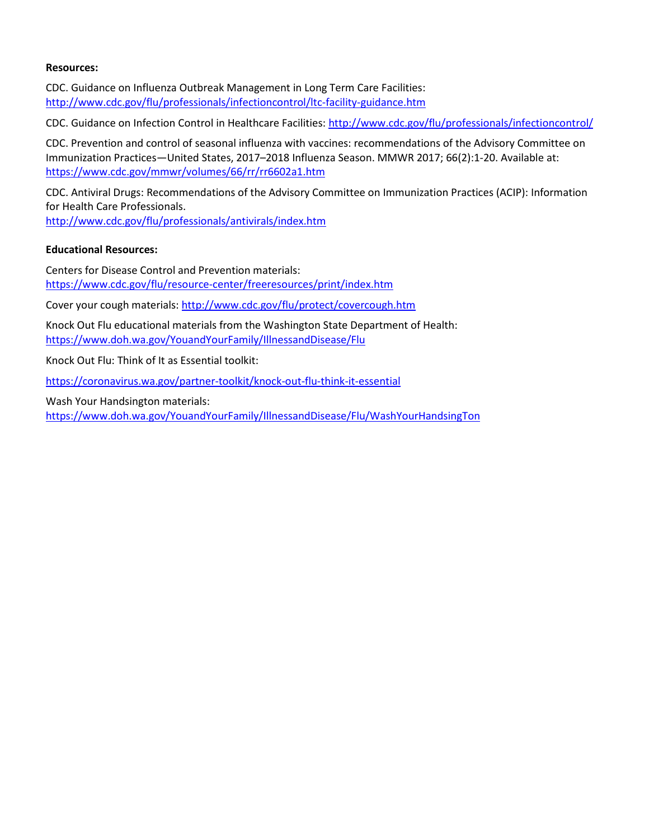#### **Resources:**

CDC. Guidance on Influenza Outbreak Management in Long Term Care Facilities: <http://www.cdc.gov/flu/professionals/infectioncontrol/ltc-facility-guidance.htm>

CDC. Guidance on Infection Control in Healthcare Facilities: <http://www.cdc.gov/flu/professionals/infectioncontrol/>

CDC. Prevention and control of seasonal influenza with vaccines: recommendations of the Advisory Committee on Immunization Practices—United States, 2017–2018 Influenza Season. MMWR 2017; 66(2):1-20. Available at: <https://www.cdc.gov/mmwr/volumes/66/rr/rr6602a1.htm>

CDC. Antiviral Drugs: Recommendations of the Advisory Committee on Immunization Practices (ACIP): Information for Health Care Professionals.

<http://www.cdc.gov/flu/professionals/antivirals/index.htm>

#### **Educational Resources:**

Centers for Disease Control and Prevention materials: <https://www.cdc.gov/flu/resource-center/freeresources/print/index.htm>

Cover your cough materials: <http://www.cdc.gov/flu/protect/covercough.htm>

Knock Out Flu educational materials from the Washington State Department of Health: <https://www.doh.wa.gov/YouandYourFamily/IllnessandDisease/Flu>

Knock Out Flu: Think of It as Essential toolkit:

<https://coronavirus.wa.gov/partner-toolkit/knock-out-flu-think-it-essential>

Wash Your Handsington materials:

<https://www.doh.wa.gov/YouandYourFamily/IllnessandDisease/Flu/WashYourHandsingTon>